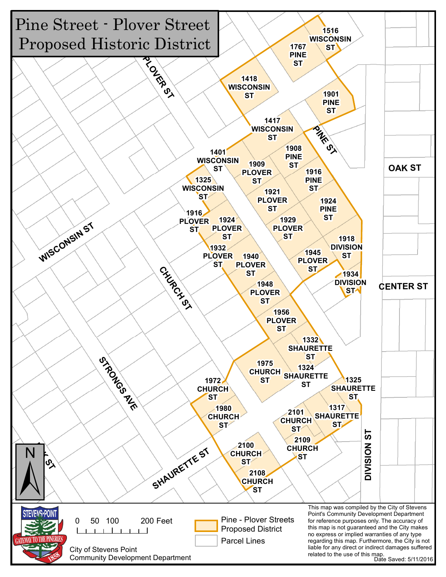